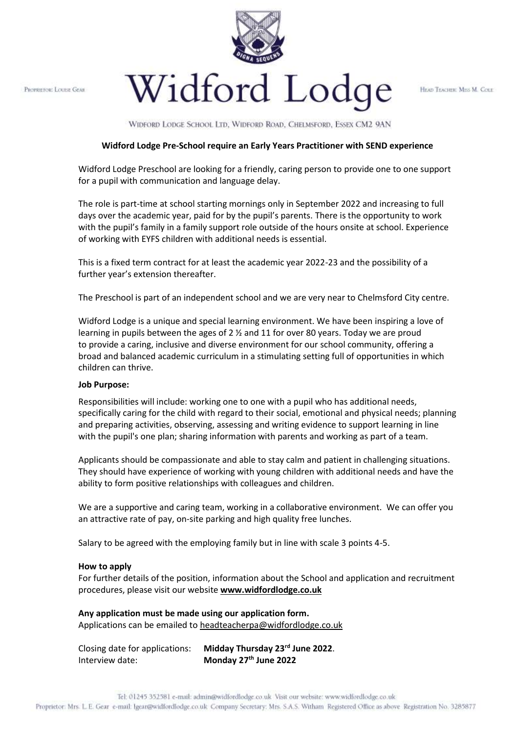PROPRETOR: LOUIST GEAR



HEAD TEACHER: MESS M. COLE

WIDFORD LODGE SCHOOL LTD, WIDFORD ROAD, CHELMSFORD, ESSEX CM2 9AN

## **Widford Lodge Pre-School require an Early Years Practitioner with SEND experience**

Widford Lodge Preschool are looking for a friendly, caring person to provide one to one support for a pupil with communication and language delay.

The role is part-time at school starting mornings only in September 2022 and increasing to full days over the academic year, paid for by the pupil's parents. There is the opportunity to work with the pupil's family in a family support role outside of the hours onsite at school. Experience of working with EYFS children with additional needs is essential.

This is a fixed term contract for at least the academic year 2022-23 and the possibility of a further year's extension thereafter.

The Preschool is part of an independent school and we are very near to Chelmsford City centre.

Widford Lodge is a unique and special learning environment. We have been inspiring a love of learning in pupils between the ages of 2  $\frac{1}{2}$  and 11 for over 80 years. Today we are proud to provide a caring, inclusive and diverse environment for our school community, offering a broad and balanced academic curriculum in a stimulating setting full of opportunities in which children can thrive.

## **Job Purpose:**

Responsibilities will include: working one to one with a pupil who has additional needs, specifically caring for the child with regard to their social, emotional and physical needs; planning and preparing activities, observing, assessing and writing evidence to support learning in line with the pupil's one plan; sharing information with parents and working as part of a team.

Applicants should be compassionate and able to stay calm and patient in challenging situations. They should have experience of working with young children with additional needs and have the ability to form positive relationships with colleagues and children.

We are a supportive and caring team, working in a collaborative environment. We can offer you an attractive rate of pay, on-site parking and high quality free lunches.

Salary to be agreed with the employing family but in line with scale 3 points 4-5.

## **How to apply**

For further details of the position, information about the School and application and recruitment procedures, please visit our website **[www.widfordlodge.co.uk](http://www.widfordlodge.co.uk/)**

**Any application must be made using our application form.** Applications can be emailed to [headteacherpa@widfordlodge.co.uk](mailto:headteacherpa@widfordlodge.co.uk)

| Closing date for applications: | Midday Thursday 23rd June 2022. |
|--------------------------------|---------------------------------|
| Interview date:                | Monday 27th June 2022           |